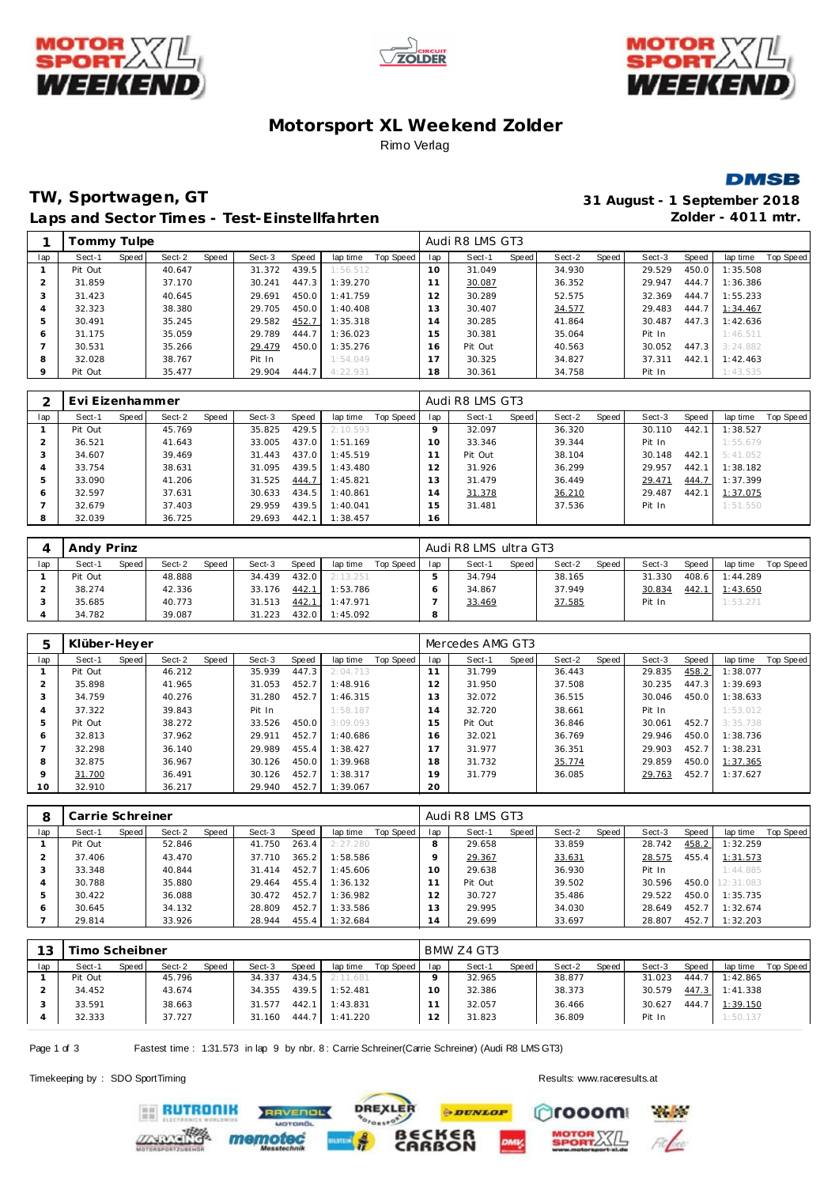





# **Motorsport XL Weekend Zolder** Rimo Verlag



# **TW, Sportwagen, GT 31 August - 1 September 2018** Laps and Sector Times - Test-Einstellfahrten **Zolder - 4011 mtr.**

|         | Tommy Tulpe |       |        |       |        |       |          |           |     | Audi R8 LMS GT3 |       |        |       |        |         |          |           |
|---------|-------------|-------|--------|-------|--------|-------|----------|-----------|-----|-----------------|-------|--------|-------|--------|---------|----------|-----------|
| lap     | Sect-1      | Speed | Sect-2 | Speed | Sect-3 | Speed | lap time | Top Speed | lap | Sect-1          | Speed | Sect-2 | Speed | Sect-3 | Speed   | lap time | Top Speed |
|         | Pit Out     |       | 40.647 |       | 31.372 | 439.5 | 1:56.512 |           | 10  | 31.049          |       | 34.930 |       | 29.529 | 450.0   | 1:35.508 |           |
|         | 31.859      |       | 37.170 |       | 30.241 | 447.3 | 1:39.270 |           | 11  | 30.087          |       | 36.352 |       | 29.947 | 444.7   | 1:36.386 |           |
|         | 31.423      |       | 40.645 |       | 29.691 | 450.0 | 1:41.759 |           | 12  | 30.289          |       | 52.575 |       | 32.369 | 444.7   | 1:55.233 |           |
|         | 32.323      |       | 38.380 |       | 29.705 | 450.0 | 1:40.408 |           | 13  | 30.407          |       | 34.577 |       | 29.483 | 444.7   | 1:34.467 |           |
|         | 30.491      |       | 35.245 |       | 29.582 | 452.7 | 1:35.318 |           | 14  | 30.285          |       | 41.864 |       | 30.487 | 447.3   | 1:42.636 |           |
| 6       | 31.175      |       | 35.059 |       | 29.789 | 444.7 | 1:36.023 |           | 15  | 30.381          |       | 35.064 |       | Pit In |         | 1:46.511 |           |
|         | 30.531      |       | 35.266 |       | 29.479 | 450.0 | 1:35.276 |           | 16  | Pit Out         |       | 40.563 |       | 30.052 | $447.3$ | 3:24.882 |           |
| 8       | 32.028      |       | 38.767 |       | Pit In |       | 1:54.049 |           | 17  | 30.325          |       | 34.827 |       | 37.311 | 442.1   | 1:42.463 |           |
| $\circ$ | Pit Out     |       | 35.477 |       | 29.904 | 444.7 | 4:22.931 |           | 18  | 30.361          |       | 34.758 |       | Pit In |         | 1:43.535 |           |

|     | Evi Eizenhammer |       |        |       |        |       |          |           |     | Audi R8 LMS GT3 |       |        |       |        |       |          |           |
|-----|-----------------|-------|--------|-------|--------|-------|----------|-----------|-----|-----------------|-------|--------|-------|--------|-------|----------|-----------|
| lap | Sect-1          | Speed | Sect-2 | Speed | Sect-3 | Speed | lap time | Top Speed | lap | Sect-1          | Speed | Sect-2 | Speed | Sect-3 | Speed | lap time | Top Speed |
|     | Pit Out         |       | 45.769 |       | 35.825 | 429.5 | 2:10.593 |           |     | 32.097          |       | 36.320 |       | 30.110 | 442.1 | 1:38.527 |           |
|     | 36.521          |       | 41.643 |       | 33.005 | 437.0 | 1:51.169 |           | 10  | 33.346          |       | 39.344 |       | Pit In |       | 1:55.679 |           |
|     | 34.607          |       | 39.469 |       | 31.443 | 437.0 | 1:45.519 |           |     | Pit Out         |       | 38.104 |       | 30.148 | 442.1 | 5:41.052 |           |
|     | 33.754          |       | 38.631 |       | 31.095 | 439.5 | 1:43.480 |           |     | 31.926          |       | 36.299 |       | 29.957 | 442.1 | 1:38.182 |           |
|     | 33.090          |       | 41.206 |       | 31.525 | 444.7 | 1:45.821 |           | l 3 | 31.479          |       | 36.449 |       | 29.471 | 444.7 | 1:37.399 |           |
| c   | 32.597          |       | 37.631 |       | 30.633 | 434.5 | 1:40.861 |           | 4   | 31.378          |       | 36.210 |       | 29.487 | 442.1 | 1:37.075 |           |
|     | 32.679          |       | 37.403 |       | 29.959 | 439.5 | 1:40.041 |           | 5   | 31.481          |       | 37.536 |       | Pit In |       | 1:51.550 |           |
| 8   | 32.039          |       | 36.725 |       | 29.693 | 442.1 | 1:38.457 |           | 16  |                 |       |        |       |        |       |          |           |

|     | Andy Prinz |       |        |       |        |       |          |           |     | Audi R8 LMS ultra GT3 |       |        |       |        |       |          |           |
|-----|------------|-------|--------|-------|--------|-------|----------|-----------|-----|-----------------------|-------|--------|-------|--------|-------|----------|-----------|
| lap | Sect-1     | Speed | Sect-2 | Speed | Sect-3 | Speed | lap time | Top Speed | lap | Sect-1                | Speed | Sect-2 | Speed | Sect-3 | Speed | lap time | Top Speed |
|     | Pit Out    |       | 48.888 |       | 34.439 | 432.0 | 2:13.251 |           |     | 34.794                |       | 38.165 |       | 31.330 | 408.6 | 1:44.289 |           |
|     | 38.274     |       | 42.336 |       | 33.176 | 442.1 | 1:53.786 |           |     | 34.867                |       | 37.949 |       | 30.834 | 442.  | 1:43.650 |           |
|     | 35.685     |       | 40.773 |       | 31.513 | 442.1 | 1:47.971 |           |     | 33.469                |       | 37.585 |       | Pit In |       | 1:53.271 |           |
|     | 34.782     |       | 39.087 |       | 31.223 | 432.0 | 1:45.092 |           | 8   |                       |       |        |       |        |       |          |           |

| 5   | Klüber-Heyer |       |        |       |        |       |          |           |             | Mercedes AMG GT3 |       |        |       |        |       |          |           |
|-----|--------------|-------|--------|-------|--------|-------|----------|-----------|-------------|------------------|-------|--------|-------|--------|-------|----------|-----------|
| lap | Sect-1       | Speed | Sect-2 | Speed | Sect-3 | Speed | lap time | Top Speed | lap         | Sect-1           | Speed | Sect-2 | Speed | Sect-3 | Speed | lap time | Top Speed |
|     | Pit Out      |       | 46.212 |       | 35.939 | 447.3 | 2:04.713 |           |             | 31.799           |       | 36.443 |       | 29.835 | 458.2 | 1:38.077 |           |
|     | 35.898       |       | 41.965 |       | 31.053 | 452.7 | 1:48.916 |           | 12          | 31.950           |       | 37.508 |       | 30.235 | 447.3 | 1:39.693 |           |
| 3   | 34.759       |       | 40.276 |       | 31.280 | 452.7 | 1:46.315 |           | 13          | 32.072           |       | 36.515 |       | 30.046 | 450.0 | 1:38.633 |           |
|     | 37.322       |       | 39.843 |       | Pit In |       | 1:58.187 |           | $4^{\circ}$ | 32.720           |       | 38.661 |       | Pit In |       | 1:53.012 |           |
| 5   | Pit Out      |       | 38.272 |       | 33.526 | 450.0 | 3:09.093 |           | 15          | Pit Out          |       | 36.846 |       | 30.061 | 452.7 | 3:35.738 |           |
| 6   | 32.813       |       | 37.962 |       | 29.911 | 452.7 | 1:40.686 |           | 16          | 32.021           |       | 36.769 |       | 29.946 | 450.0 | 1:38.736 |           |
|     | 32.298       |       | 36.140 |       | 29.989 | 455.4 | 1:38.427 |           |             | 31.977           |       | 36.351 |       | 29.903 | 452.7 | 1:38.231 |           |
| 8   | 32.875       |       | 36.967 |       | 30.126 | 450.0 | 1:39.968 |           | 18          | 31.732           |       | 35.774 |       | 29.859 | 450.0 | 1:37.365 |           |
| 9   | 31.700       |       | 36.491 |       | 30.126 | 452.7 | 1:38.317 |           | 19          | 31.779           |       | 36.085 |       | 29.763 | 452.7 | 1:37.627 |           |
| 10  | 32.910       |       | 36.217 |       | 29.940 | 452.7 | 1:39.067 |           | 20          |                  |       |        |       |        |       |          |           |

| 8   | Carrie Schreiner |       |        |       |        |       |          |           |                | Audi R8 LMS GT3 |       |        |       |        |       |           |           |
|-----|------------------|-------|--------|-------|--------|-------|----------|-----------|----------------|-----------------|-------|--------|-------|--------|-------|-----------|-----------|
| lap | Sect-1           | Speed | Sect-2 | Speed | Sect-3 | Speed | lap time | Top Speed | lap            | Sect-1          | Speed | Sect-2 | Speed | Sect-3 | Speed | lap time  | Top Speed |
|     | Pit Out          |       | 52.846 |       | 41.750 | 263.4 | 2:27.280 |           |                | 29.658          |       | 33.859 |       | 28.742 | 458.2 | 1:32.259  |           |
|     | 37.406           |       | 43.470 |       | 37.710 | 365.2 | 1:58.586 |           |                | 29.367          |       | 33.631 |       | 28.575 | 455.4 | 1:31.573  |           |
|     | 33.348           |       | 40.844 |       | 31.414 | 452.7 | 1:45.606 |           |                | 29.638          |       | 36.930 |       | Pit In |       | 1:44.885  |           |
|     | 30.788           |       | 35.880 |       | 29.464 | 455.4 | 1:36.132 |           |                | Pit Out         |       | 39.502 |       | 30.596 | 450.0 | 12:31.083 |           |
|     | 30.422           |       | 36.088 |       | 30.472 | 452.7 | 1:36.982 |           | $\overline{2}$ | 30.727          |       | 35.486 |       | 29.522 | 450.0 | 1:35.735  |           |
|     | 30.645           |       | 34.132 |       | 28.809 | 452.7 | 1:33.586 |           | 3              | 29.995          |       | 34.030 |       | 28.649 | 452.7 | 1:32.674  |           |
|     | 29.814           |       | 33.926 |       | 28.944 | 455.4 | 1:32.684 |           | 14             | 29.699          |       | 33.697 |       | 28.807 | 452.7 | 1:32.203  |           |

| 13  | imo Scheibner |       |        |       |        |       |          |           |                | BMW Z4 GT3 |       |        |       |        |       |          |           |
|-----|---------------|-------|--------|-------|--------|-------|----------|-----------|----------------|------------|-------|--------|-------|--------|-------|----------|-----------|
| lap | Sect-1        | Speed | Sect-2 | Speed | Sect-3 | Speed | lap time | Top Speed | lap            | Sect-1     | Speed | Sect-2 | Speed | Sect-3 | Speed | lap time | Top Speed |
|     | Pit Out       |       | 45.796 |       | 34.337 | 434.5 | 2:11.681 |           |                | 32.965     |       | 38.877 |       | 31.023 | 444.7 | 1:42.865 |           |
|     | 34.452        |       | 43.674 |       | 34.355 | 439.5 | 1:52.481 |           | ◡              | 32.386     |       | 38.373 |       | 30.579 | 447.3 | 1:41.338 |           |
|     | 33.591        |       | 38.663 |       | 31.577 | 442.1 | 1:43.831 |           |                | 32.057     |       | 36.466 |       | 30.627 | 444.7 | 1:39.150 |           |
|     | 32.333        |       | 37.727 |       | 31.160 | 444.7 | 1:41.220 |           | $\overline{2}$ | 31.823     |       | 36.809 |       | Pit In |       | 1:50.137 |           |

Page 1 of 3 Fastest time : 1:31.573 in lap 9 by nbr. 8 : Carrie Schreiner(Carrie Schreiner) (Audi R8 LMS GT3)

**IVENDL** 

Timekeeping by : SDO SportTiming Results:<www.raceresults.at>

**EE RUTRONIK** 



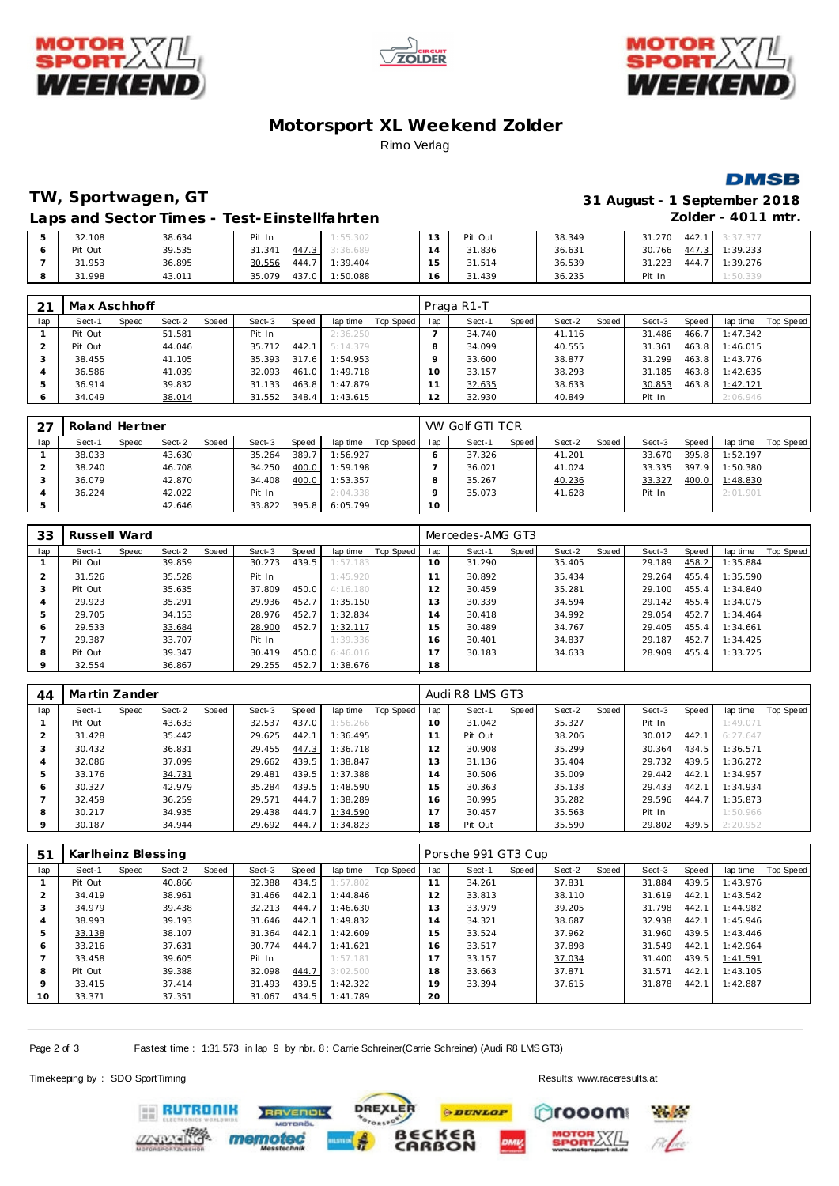





# **Motorsport XL Weekend Zolder** Rimo Verlag

### **DMSB**

# **TW, Sportwagen, GT 31 August - 1 September 2018**

## Laps and Sector Times - Test-Einstellfahrten **Zolder - 4011 mtr.**

| 32.108  | 38.634 | Pit In          | 1:55.302 | 12<br>15 | Pit Out | 38.349 | 31.270<br>442.7 | 3:37.377 |
|---------|--------|-----------------|----------|----------|---------|--------|-----------------|----------|
| Pit Out | 39.535 | 447.3<br>31.34' | 3:36.689 |          | 31.836  | 36.631 | 447.3<br>30.766 | 1:39.233 |
| 31.953  | 36.895 | 444.7<br>30.556 | 1:39.404 |          | 31.514  | 36.539 | 444.7<br>31.223 | 1:39.276 |
| 31.998  | 43.011 | 437.0<br>35.079 | 1:50.088 | 16       | 31.439  | 36.235 | Pit In          | 1:50.339 |

| 21  | Max Aschhoff |       |        |       |        |       |          |           |     | Praga R1-T |       |        |       |        |       |          |           |
|-----|--------------|-------|--------|-------|--------|-------|----------|-----------|-----|------------|-------|--------|-------|--------|-------|----------|-----------|
| lap | Sect-1       | Speed | Sect-2 | Speed | Sect-3 | Speed | lap time | Top Speed | lap | Sect-1     | Speed | Sect-2 | Speed | Sect-3 | Speed | lap time | Top Speed |
|     | Pit Out      |       | 51.581 |       | Pit In |       | 2:36.250 |           |     | 34.740     |       | 41.116 |       | 31.486 | 466.7 | 1:47.342 |           |
|     | Pit Out      |       | 44.046 |       | 35.712 | 442.1 | 5:14.379 |           |     | 34.099     |       | 40.555 |       | 31.361 | 463.8 | 1:46.015 |           |
|     | 38.455       |       | 41.105 |       | 35.393 | 317.6 | 1:54.953 |           |     | 33.600     |       | 38.877 |       | 31.299 | 463.8 | 1:43.776 |           |
|     | 36.586       |       | 41.039 |       | 32.093 | 461.0 | 1:49.718 |           | 10  | 33.157     |       | 38.293 |       | 31.185 | 463.8 | 1:42.635 |           |
|     | 36.914       |       | 39.832 |       | 31.133 | 463.8 | 1:47.879 |           |     | 32.635     |       | 38.633 |       | 30.853 | 463.8 | 1:42.121 |           |
| O   | 34.049       |       | 38.014 |       | 31.552 | 348.4 | 1:43.615 |           | 12  | 32.930     |       | 40.849 |       | Pit In |       | 2:06.946 |           |

|     | Roland Hertner |       |        |       |        |       |          |           |     | VW Golf GTI TCR |       |        |       |        |       |          |           |
|-----|----------------|-------|--------|-------|--------|-------|----------|-----------|-----|-----------------|-------|--------|-------|--------|-------|----------|-----------|
| lap | Sect-1         | Speed | Sect-2 | Speed | Sect-3 | Speed | lap time | Top Speed | lap | Sect-1          | Speed | Sect-2 | Speed | Sect-3 | Speed | lap time | Top Speed |
|     | 38.033         |       | 43.630 |       | 35.264 | 389.7 | 1:56.927 |           |     | 37.326          |       | 41.201 |       | 33.670 | 395.8 | 1:52.197 |           |
|     | 38.240         |       | 46.708 |       | 34.250 | 400.0 | 1:59.198 |           |     | 36.021          |       | 41.024 |       | 33.335 | 397.9 | 1:50.380 |           |
|     | 36.079         |       | 42.870 |       | 34.408 | 400.0 | 1:53.357 |           |     | 35.267          |       | 40.236 |       | 33.327 | 400.0 | 1:48.830 |           |
|     | 36.224         |       | 42.022 |       | Pit In |       | 2:04.338 |           |     | 35.073          |       | 41.628 |       | Pit In |       | 2:01.901 |           |
|     |                |       | 42.646 |       | 33.822 | 395.8 | 6:05.799 |           | 10  |                 |       |        |       |        |       |          |           |

| 33  | Russell Ward |       |        |       |        |       |          |           |                          | Mercedes-AMG GT3 |       |        |       |        |         |          |           |
|-----|--------------|-------|--------|-------|--------|-------|----------|-----------|--------------------------|------------------|-------|--------|-------|--------|---------|----------|-----------|
| lap | Sect-1       | Speed | Sect-2 | Speed | Sect-3 | Speed | lap time | Top Speed | lap                      | Sect-1           | Speed | Sect-2 | Speed | Sect-3 | Speed ' | lap time | Top Speed |
|     | Pit Out      |       | 39.859 |       | 30.273 | 439.5 | 1:57.183 |           | 10 <sup>°</sup>          | 31.290           |       | 35.405 |       | 29.189 | 458.2   | 1:35.884 |           |
|     | 31.526       |       | 35.528 |       | Pit In |       | 1:45.920 |           |                          | 30.892           |       | 35.434 |       | 29.264 | 455.4   | 1:35.590 |           |
| 3   | Pit Out      |       | 35.635 |       | 37.809 | 450.0 | 4:16.180 |           | $\mathcal{P}$            | 30.459           |       | 35.281 |       | 29.100 | 455.4   | 1:34.840 |           |
| 4   | 29.923       |       | 35.291 |       | 29.936 | 452.7 | 1:35.150 |           | 13                       | 30.339           |       | 34.594 |       | 29.142 | 455.4   | 1:34.075 |           |
| 5   | 29.705       |       | 34.153 |       | 28.976 | 452.7 | 1:32.834 |           | $\overline{A}$           | 30.418           |       | 34.992 |       | 29.054 | 452.7   | 1:34.464 |           |
| 6   | 29.533       |       | 33.684 |       | 28.900 | 452.7 | 1:32.117 |           | 5                        | 30.489           |       | 34.767 |       | 29.405 | 455.4   | 1:34.661 |           |
|     | 29.387       |       | 33.707 |       | Pit In |       | 1:39.336 |           | 16                       | 30.401           |       | 34.837 |       | 29.187 | 452.7   | 1:34.425 |           |
| 8   | Pit Out      |       | 39.347 |       | 30.419 | 450.0 | 6:46.016 |           | $\overline{\phantom{0}}$ | 30.183           |       | 34.633 |       | 28.909 | 455.4   | 1:33.725 |           |
| 9   | 32.554       |       | 36.867 |       | 29.255 | 452.7 | 1:38.676 |           | 18                       |                  |       |        |       |        |         |          |           |

| 44      | Martin Zander |       |        |       |        |       |          |           |     | Audi R8 LMS GT3 |       |        |       |        |       |          |           |
|---------|---------------|-------|--------|-------|--------|-------|----------|-----------|-----|-----------------|-------|--------|-------|--------|-------|----------|-----------|
| lap     | Sect-1        | Speed | Sect-2 | Speed | Sect-3 | Speed | lap time | Top Speed | lap | Sect-1          | Speed | Sect-2 | Speed | Sect-3 | Speed | lap time | Top Speed |
|         | Pit Out       |       | 43.633 |       | 32.537 | 437.0 | 1:56.266 |           | 10  | 31.042          |       | 35.327 |       | Pit In |       | 1:49.071 |           |
|         | 31.428        |       | 35.442 |       | 29.625 | 442.1 | 1:36.495 |           |     | Pit Out         |       | 38.206 |       | 30.012 | 442.1 | 6:27.647 |           |
|         | 30.432        |       | 36.831 |       | 29.455 | 447.3 | 1:36.718 |           | 12  | 30.908          |       | 35.299 |       | 30.364 | 434.5 | 1:36.571 |           |
|         | 32.086        |       | 37.099 |       | 29.662 | 439.5 | 1:38.847 |           | 13  | 31.136          |       | 35.404 |       | 29.732 | 439.5 | 1:36.272 |           |
| b       | 33.176        |       | 34.731 |       | 29.481 | 439.5 | 1:37.388 |           | . 4 | 30.506          |       | 35.009 |       | 29.442 | 442.1 | 1:34.957 |           |
| 6       | 30.327        |       | 42.979 |       | 35.284 | 439.5 | 1:48.590 |           | 15  | 30.363          |       | 35.138 |       | 29.433 | 442.1 | 1:34.934 |           |
|         | 32.459        |       | 36.259 |       | 29.571 | 444.7 | 1:38.289 |           | 16. | 30.995          |       | 35.282 |       | 29.596 | 444.7 | 1:35.873 |           |
| 8       | 30.217        |       | 34.935 |       | 29.438 | 444.7 | 1:34.590 |           |     | 30.457          |       | 35.563 |       | Pit In |       | 1:50.966 |           |
| $\circ$ | 30.187        |       | 34.944 |       | 29.692 | 444.7 | 1:34.823 |           | 18  | Pit Out         |       | 35.590 |       | 29.802 | 439.5 | 2:20.952 |           |

| 51  | Karlheinz Blessing |       |        |       |        |       |          |           |     | Porsche 991 GT3 Cup |       |        |       |        |       |          |                  |
|-----|--------------------|-------|--------|-------|--------|-------|----------|-----------|-----|---------------------|-------|--------|-------|--------|-------|----------|------------------|
| lap | Sect-1             | Speed | Sect-2 | Speed | Sect-3 | Speed | lap time | Top Speed | lap | Sect-1              | Speed | Sect-2 | Speed | Sect-3 | Speed | lap time | <b>Top Speed</b> |
|     | Pit Out            |       | 40.866 |       | 32.388 | 434.5 | 1:57.802 |           | 11  | 34.261              |       | 37.831 |       | 31.884 | 439.5 | 1:43.976 |                  |
|     | 34.419             |       | 38.961 |       | 31.466 | 442.1 | 1:44.846 |           | 12  | 33.813              |       | 38.110 |       | 31.619 | 442.1 | 1:43.542 |                  |
| 3   | 34.979             |       | 39.438 |       | 32.213 | 444.7 | 1:46.630 |           | 13  | 33.979              |       | 39.205 |       | 31.798 | 442.1 | 1:44.982 |                  |
|     | 38.993             |       | 39.193 |       | 31.646 | 442.1 | 1:49.832 |           | 14  | 34.321              |       | 38.687 |       | 32.938 | 442.1 | 1:45.946 |                  |
| 5   | 33.138             |       | 38.107 |       | 31.364 | 442.1 | 1:42.609 |           | 15  | 33.524              |       | 37.962 |       | 31.960 | 439.5 | 1:43.446 |                  |
| 6   | 33.216             |       | 37.631 |       | 30.774 | 444.7 | 1:41.621 |           | 6   | 33.517              |       | 37.898 |       | 31.549 | 442.1 | 1:42.964 |                  |
|     | 33.458             |       | 39.605 |       | Pit In |       | 1:57.181 |           |     | 33.157              |       | 37.034 |       | 31.400 | 439.5 | 1:41.591 |                  |
| 8   | Pit Out            |       | 39.388 |       | 32.098 | 444.7 | 3:02.500 |           | 18  | 33.663              |       | 37.871 |       | 31.571 | 442.1 | 1:43.105 |                  |
| 9   | 33.415             |       | 37.414 |       | 31.493 | 439.5 | 1:42.322 |           | 19  | 33.394              |       | 37.615 |       | 31.878 | 442.1 | 1:42.887 |                  |
| 10  | 33.371             |       | 37.351 |       | 31.067 | 434.5 | 1:41.789 |           | 20  |                     |       |        |       |        |       |          |                  |

Page 2 of 3 Fastest time : 1:31.573 in lap 9 by nbr. 8 : Carrie Schreiner(Carrie Schreiner) (Audi R8 LMS GT3)

**TVENDL** 

**DREXLER** 

Timekeeping by : SDO SportTiming Results:<www.raceresults.at>